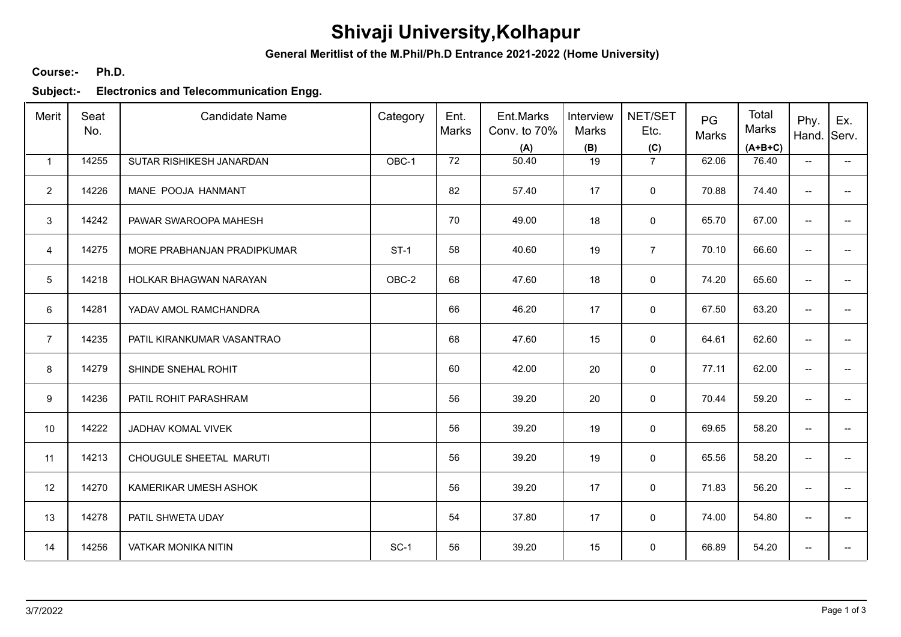## **Shivaji University,Kolhapur**

**General Meritlist of the M.Phil/Ph.D Entrance 2021-2022 (Home University)**

**Ph.D. Course:-**

**Subject:- Electronics and Telecommunication Engg.**

| Merit           | Seat<br>No. | <b>Candidate Name</b>       | Category    | Ent.<br>Marks | Ent.Marks<br>Conv. to 70%<br>(A) | Interview<br>Marks<br>(B) | NET/SET<br>Etc.<br>(C) | PG<br><b>Marks</b> | Total<br>Marks<br>$(A+B+C)$ | Phy.<br>Hand.            | Ex.<br>Serv.             |
|-----------------|-------------|-----------------------------|-------------|---------------|----------------------------------|---------------------------|------------------------|--------------------|-----------------------------|--------------------------|--------------------------|
| $\mathbf{1}$    | 14255       | SUTAR RISHIKESH JANARDAN    | OBC-1       | 72            | 50.40                            | 19                        | $\overline{7}$         | 62.06              | 76.40                       | $\overline{\phantom{a}}$ | $\sim$                   |
| $\overline{2}$  | 14226       | MANE POOJA HANMANT          |             | 82            | 57.40                            | 17                        | $\mathsf 0$            | 70.88              | 74.40                       | $\overline{\phantom{a}}$ |                          |
| $\mathbf{3}$    | 14242       | PAWAR SWAROOPA MAHESH       |             | 70            | 49.00                            | 18                        | $\mathsf 0$            | 65.70              | 67.00                       | $\overline{\phantom{a}}$ | --                       |
| $\overline{4}$  | 14275       | MORE PRABHANJAN PRADIPKUMAR | <b>ST-1</b> | 58            | 40.60                            | 19                        | $\overline{7}$         | 70.10              | 66.60                       | $\overline{\phantom{a}}$ | --                       |
| $5\phantom{.0}$ | 14218       | HOLKAR BHAGWAN NARAYAN      | OBC-2       | 68            | 47.60                            | 18                        | 0                      | 74.20              | 65.60                       | $\overline{\phantom{a}}$ | $\overline{\phantom{a}}$ |
| 6               | 14281       | YADAV AMOL RAMCHANDRA       |             | 66            | 46.20                            | 17                        | 0                      | 67.50              | 63.20                       | $\overline{\phantom{a}}$ | --                       |
| $\overline{7}$  | 14235       | PATIL KIRANKUMAR VASANTRAO  |             | 68            | 47.60                            | 15                        | 0                      | 64.61              | 62.60                       | $\overline{\phantom{a}}$ | --                       |
| 8               | 14279       | SHINDE SNEHAL ROHIT         |             | 60            | 42.00                            | 20                        | 0                      | 77.11              | 62.00                       | $\overline{\phantom{a}}$ |                          |
| 9               | 14236       | PATIL ROHIT PARASHRAM       |             | 56            | 39.20                            | 20                        | 0                      | 70.44              | 59.20                       | $\overline{\phantom{a}}$ |                          |
| 10              | 14222       | JADHAV KOMAL VIVEK          |             | 56            | 39.20                            | 19                        | 0                      | 69.65              | 58.20                       | $\overline{\phantom{a}}$ | --                       |
| 11              | 14213       | CHOUGULE SHEETAL MARUTI     |             | 56            | 39.20                            | 19                        | $\mathsf 0$            | 65.56              | 58.20                       | $\qquad \qquad -$        | $\overline{a}$           |
| 12              | 14270       | KAMERIKAR UMESH ASHOK       |             | 56            | 39.20                            | 17                        | $\mathsf 0$            | 71.83              | 56.20                       | $\overline{\phantom{a}}$ | $\overline{\phantom{a}}$ |
| 13              | 14278       | PATIL SHWETA UDAY           |             | 54            | 37.80                            | 17                        | 0                      | 74.00              | 54.80                       | $\overline{\phantom{a}}$ | $\overline{\phantom{a}}$ |
| 14              | 14256       | VATKAR MONIKA NITIN         | $SC-1$      | 56            | 39.20                            | 15                        | $\mathbf 0$            | 66.89              | 54.20                       | --                       | --                       |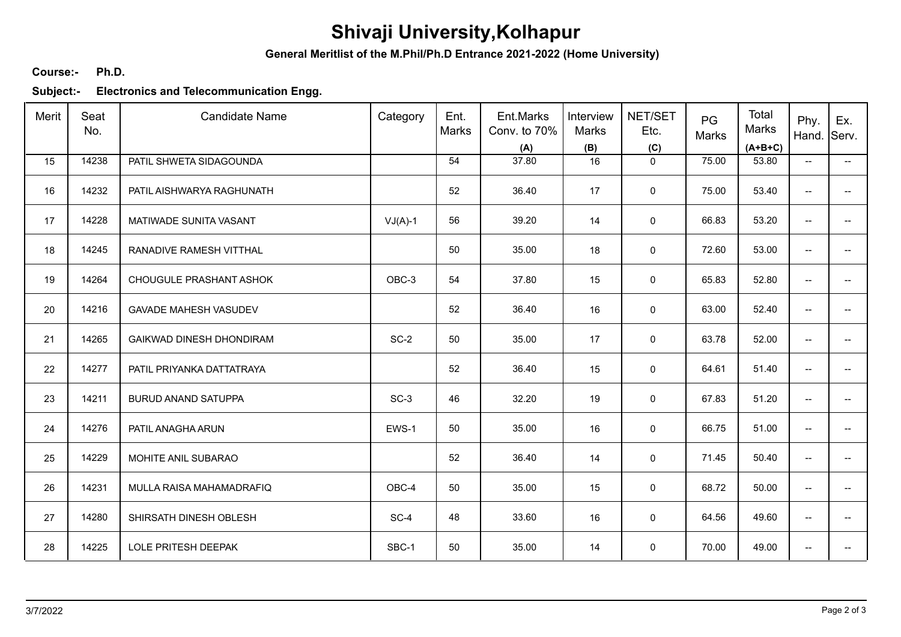## **Shivaji University,Kolhapur**

**General Meritlist of the M.Phil/Ph.D Entrance 2021-2022 (Home University)**

**Ph.D. Course:-**

**Subject:- Electronics and Telecommunication Engg.**

| Merit | Seat<br>No. | <b>Candidate Name</b>           | Category  | Ent.<br>Marks | Ent.Marks<br>Conv. to 70%<br>(A) | Interview<br>Marks<br>(B) | NET/SET<br>Etc.<br>(C) | PG<br>Marks | Total<br>Marks<br>$(A+B+C)$ | Phy.<br>Hand.            | Ex.<br>Serv.             |
|-------|-------------|---------------------------------|-----------|---------------|----------------------------------|---------------------------|------------------------|-------------|-----------------------------|--------------------------|--------------------------|
| 15    | 14238       | PATIL SHWETA SIDAGOUNDA         |           | 54            | 37.80                            | 16                        | $\mathbf 0$            | 75.00       | 53.80                       | $\overline{\phantom{a}}$ | $\overline{\phantom{a}}$ |
| 16    | 14232       | PATIL AISHWARYA RAGHUNATH       |           | 52            | 36.40                            | 17                        | $\mathbf 0$            | 75.00       | 53.40                       | $\overline{\phantom{a}}$ |                          |
| 17    | 14228       | MATIWADE SUNITA VASANT          | $VJ(A)-1$ | 56            | 39.20                            | 14                        | $\pmb{0}$              | 66.83       | 53.20                       | $\overline{\phantom{a}}$ | --                       |
| 18    | 14245       | RANADIVE RAMESH VITTHAL         |           | 50            | 35.00                            | 18                        | $\mathbf 0$            | 72.60       | 53.00                       | $\overline{\phantom{a}}$ | $\overline{\phantom{a}}$ |
| 19    | 14264       | CHOUGULE PRASHANT ASHOK         | OBC-3     | 54            | 37.80                            | 15                        | 0                      | 65.83       | 52.80                       | $\overline{\phantom{a}}$ | --                       |
| 20    | 14216       | <b>GAVADE MAHESH VASUDEV</b>    |           | 52            | 36.40                            | 16                        | 0                      | 63.00       | 52.40                       | $\overline{\phantom{a}}$ | $\overline{\phantom{a}}$ |
| 21    | 14265       | <b>GAIKWAD DINESH DHONDIRAM</b> | $SC-2$    | 50            | 35.00                            | 17                        | $\mathbf 0$            | 63.78       | 52.00                       | $\overline{\phantom{a}}$ | $\overline{\phantom{a}}$ |
| 22    | 14277       | PATIL PRIYANKA DATTATRAYA       |           | 52            | 36.40                            | 15                        | $\mathbf 0$            | 64.61       | 51.40                       | $\overline{\phantom{a}}$ | $\overline{\phantom{a}}$ |
| 23    | 14211       | <b>BURUD ANAND SATUPPA</b>      | $SC-3$    | 46            | 32.20                            | 19                        | $\mathbf 0$            | 67.83       | 51.20                       | $\overline{\phantom{a}}$ |                          |
| 24    | 14276       | PATIL ANAGHA ARUN               | EWS-1     | 50            | 35.00                            | 16                        | $\pmb{0}$              | 66.75       | 51.00                       | --                       | --                       |
| 25    | 14229       | MOHITE ANIL SUBARAO             |           | 52            | 36.40                            | 14                        | $\mathbf 0$            | 71.45       | 50.40                       | $\overline{\phantom{a}}$ | $\qquad \qquad -$        |
| 26    | 14231       | MULLA RAISA MAHAMADRAFIQ        | OBC-4     | 50            | 35.00                            | 15                        | $\mathbf 0$            | 68.72       | 50.00                       | $\overline{\phantom{m}}$ | $\overline{\phantom{a}}$ |
| 27    | 14280       | SHIRSATH DINESH OBLESH          | SC-4      | 48            | 33.60                            | 16                        | 0                      | 64.56       | 49.60                       | $\overline{\phantom{a}}$ | $\overline{\phantom{a}}$ |
| 28    | 14225       | LOLE PRITESH DEEPAK             | SBC-1     | 50            | 35.00                            | 14                        | $\mathbf 0$            | 70.00       | 49.00                       | $\overline{\phantom{a}}$ | --                       |